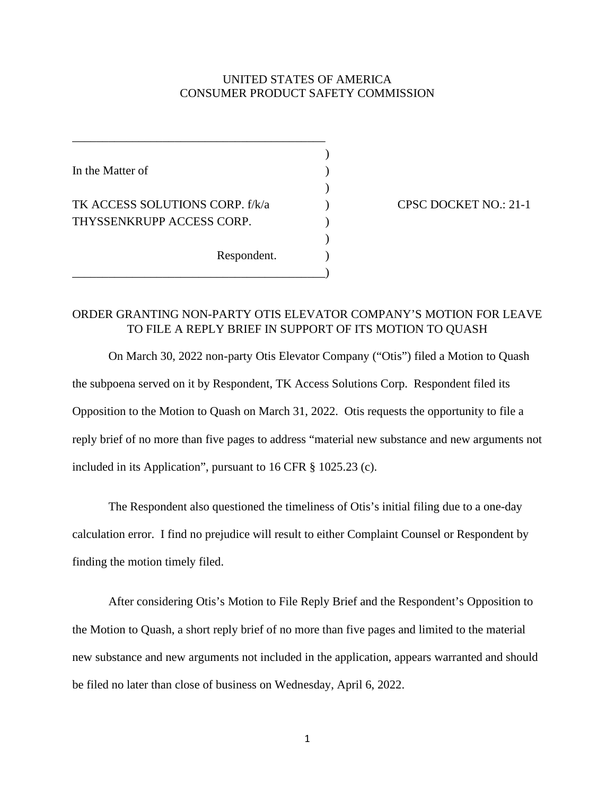## UNITED STATES OF AMERICA CONSUMER PRODUCT SAFETY COMMISSION

)

)

)

In the Matter of  $( )$ TK ACCESS SOLUTIONS CORP. f/k/a  $CPSC$  DOCKET NO.: 21-1 THYSSENKRUPP ACCESS CORP. Respondent.

\_\_\_\_\_\_\_\_\_\_\_\_\_\_\_\_\_\_\_\_\_\_\_\_\_\_\_\_\_\_\_\_\_\_\_\_\_\_\_\_\_\_)

\_\_\_\_\_\_\_\_\_\_\_\_\_\_\_\_\_\_\_\_\_\_\_\_\_\_\_\_\_\_\_\_\_\_\_\_\_\_\_\_\_\_

## ORDER GRANTING NON-PARTY OTIS ELEVATOR COMPANY'S MOTION FOR LEAVE TO FILE A REPLY BRIEF IN SUPPORT OF ITS MOTION TO QUASH

On March 30, 2022 non-party Otis Elevator Company ("Otis") filed a Motion to Quash the subpoena served on it by Respondent, TK Access Solutions Corp. Respondent filed its Opposition to the Motion to Quash on March 31, 2022. Otis requests the opportunity to file a reply brief of no more than five pages to address "material new substance and new arguments not included in its Application", pursuant to 16 CFR § 1025.23 (c).

The Respondent also questioned the timeliness of Otis's initial filing due to a one-day calculation error. I find no prejudice will result to either Complaint Counsel or Respondent by finding the motion timely filed.

After considering Otis's Motion to File Reply Brief and the Respondent's Opposition to the Motion to Quash, a short reply brief of no more than five pages and limited to the material new substance and new arguments not included in the application, appears warranted and should be filed no later than close of business on Wednesday, April 6, 2022.